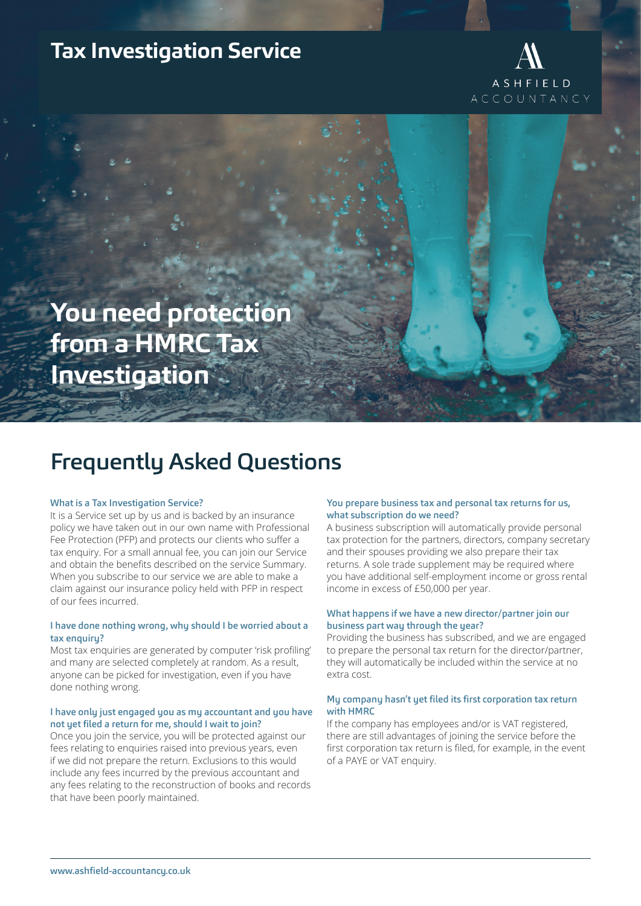# **Tax Investigation Service**



**You need protection from a HMRC Tax Investigation**

# Frequently Asked Questions

#### What is a Tax Investigation Service?

It is a Service set up by us and is backed by an insurance policy we have taken out in our own name with Professional Fee Protection (PFP) and protects our clients who suffer a tax enquiry. For a small annual fee, you can join our Service and obtain the benefits described on the service Summary. When you subscribe to our service we are able to make a claim against our insurance policy held with PFP in respect of our fees incurred.

### I have done nothing wrong, why should I be worried about a tax enquiry?

Most tax enquiries are generated by computer 'risk profiling' and many are selected completely at random. As a result, anyone can be picked for investigation, even if you have done nothing wrong.

### I have only just engaged you as my accountant and you have not yet filed a return for me, should I wait to join?

Once you join the service, you will be protected against our fees relating to enquiries raised into previous years, even if we did not prepare the return. Exclusions to this would include any fees incurred by the previous accountant and any fees relating to the reconstruction of books and records that have been poorly maintained.

### You prepare business tax and personal tax returns for us, what subscription do we need?

A business subscription will automatically provide personal tax protection for the partners, directors, company secretary and their spouses providing we also prepare their tax returns. A sole trade supplement may be required where you have additional self-employment income or gross rental income in excess of £50,000 per year.

### What happens if we have a new director/partner join our business part way through the year?

Providing the business has subscribed, and we are engaged to prepare the personal tax return for the director/partner, they will automatically be included within the service at no extra cost.

#### My company hasn't yet filed its first corporation tax return with HMRC

If the company has employees and/or is VAT registered, there are still advantages of joining the service before the first corporation tax return is filed, for example, in the event of a PAYE or VAT enquiry.